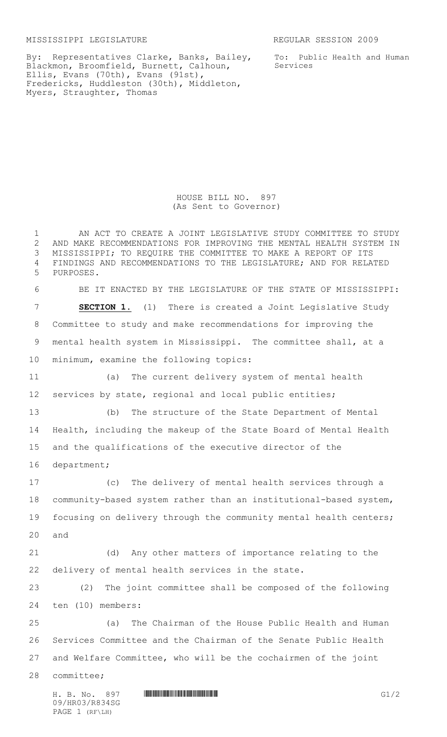MISSISSIPPI LEGISLATURE REGULAR SESSION 2009

To: Public Health and Human Services

By: Representatives Clarke, Banks, Bailey, Blackmon, Broomfield, Burnett, Calhoun, Ellis, Evans (70th), Evans (91st), Fredericks, Huddleston (30th), Middleton, Myers, Straughter, Thomas

> HOUSE BILL NO. 897 (As Sent to Governor)

 AN ACT TO CREATE A JOINT LEGISLATIVE STUDY COMMITTEE TO STUDY AND MAKE RECOMMENDATIONS FOR IMPROVING THE MENTAL HEALTH SYSTEM IN MISSISSIPPI; TO REQUIRE THE COMMITTEE TO MAKE A REPORT OF ITS FINDINGS AND RECOMMENDATIONS TO THE LEGISLATURE; AND FOR RELATED PURPOSES. BE IT ENACTED BY THE LEGISLATURE OF THE STATE OF MISSISSIPPI: **SECTION 1.** (1) There is created a Joint Legislative Study Committee to study and make recommendations for improving the mental health system in Mississippi. The committee shall, at a minimum, examine the following topics: (a) The current delivery system of mental health services by state, regional and local public entities; (b) The structure of the State Department of Mental Health, including the makeup of the State Board of Mental Health and the qualifications of the executive director of the department; (c) The delivery of mental health services through a community-based system rather than an institutional-based system, focusing on delivery through the community mental health centers; and (d) Any other matters of importance relating to the delivery of mental health services in the state. (2) The joint committee shall be composed of the following ten (10) members: (a) The Chairman of the House Public Health and Human Services Committee and the Chairman of the Senate Public Health and Welfare Committee, who will be the cochairmen of the joint committee;

09/HR03/R834SG PAGE 1 (RF\LH)

H. B. No. 897 **HROSH BERGE GIVEN**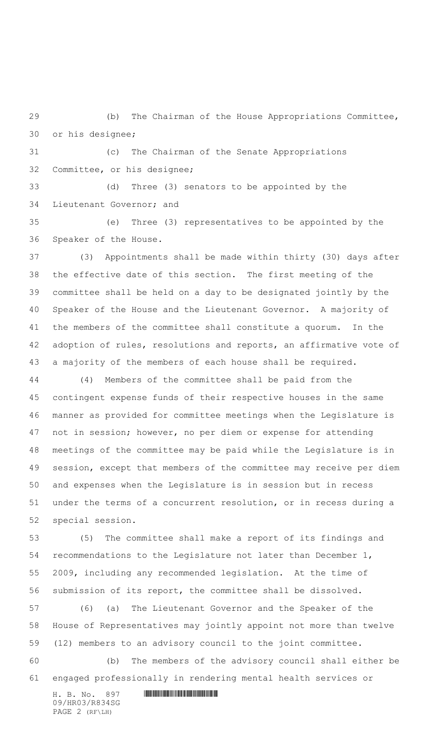(b) The Chairman of the House Appropriations Committee, or his designee;

 (c) The Chairman of the Senate Appropriations Committee, or his designee;

 (d) Three (3) senators to be appointed by the Lieutenant Governor; and

 (e) Three (3) representatives to be appointed by the Speaker of the House.

 (3) Appointments shall be made within thirty (30) days after the effective date of this section. The first meeting of the committee shall be held on a day to be designated jointly by the Speaker of the House and the Lieutenant Governor. A majority of the members of the committee shall constitute a quorum. In the adoption of rules, resolutions and reports, an affirmative vote of a majority of the members of each house shall be required.

 (4) Members of the committee shall be paid from the contingent expense funds of their respective houses in the same manner as provided for committee meetings when the Legislature is not in session; however, no per diem or expense for attending meetings of the committee may be paid while the Legislature is in session, except that members of the committee may receive per diem and expenses when the Legislature is in session but in recess under the terms of a concurrent resolution, or in recess during a special session.

 (5) The committee shall make a report of its findings and recommendations to the Legislature not later than December 1, 2009, including any recommended legislation. At the time of submission of its report, the committee shall be dissolved.

 (6) (a) The Lieutenant Governor and the Speaker of the House of Representatives may jointly appoint not more than twelve (12) members to an advisory council to the joint committee.

 (b) The members of the advisory council shall either be engaged professionally in rendering mental health services or

H. B. No. 897 \*HR03/R834SG\* 09/HR03/R834SG PAGE 2 (RF\LH)